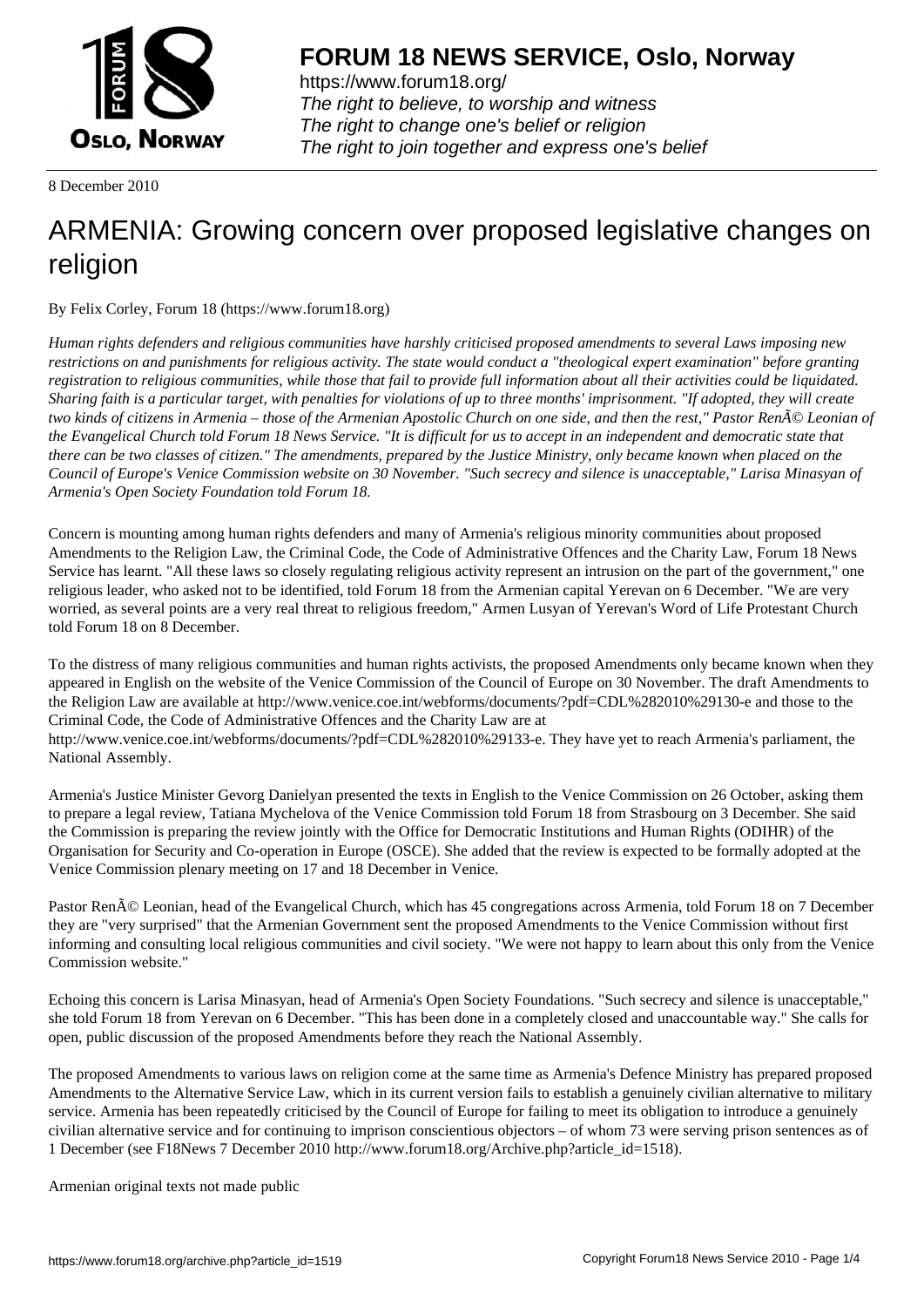

https://www.forum18.org/ The right to believe, to worship and witness The right to change one's belief or religion [The right to join together a](https://www.forum18.org/)nd express one's belief

8 December 2010

## [ARMENIA: Gro](https://www.forum18.org)wing concern over proposed legislative changes on religion

By Felix Corley, Forum 18 (https://www.forum18.org)

*Human rights defenders and religious communities have harshly criticised proposed amendments to several Laws imposing new restrictions on and punishments for religious activity. The state would conduct a "theological expert examination" before granting registration to religious communities, while those that fail to provide full information about all their activities could be liquidated. Sharing faith is a particular target, with penalties for violations of up to three months' imprisonment. "If adopted, they will create two kinds of citizens in Armenia – those of the Armenian Apostolic Church on one side, and then the rest," Pastor Ren* $\tilde{A}$ © Leonian of *the Evangelical Church told Forum 18 News Service. "It is difficult for us to accept in an independent and democratic state that there can be two classes of citizen." The amendments, prepared by the Justice Ministry, only became known when placed on the Council of Europe's Venice Commission website on 30 November. "Such secrecy and silence is unacceptable," Larisa Minasyan of Armenia's Open Society Foundation told Forum 18.*

Concern is mounting among human rights defenders and many of Armenia's religious minority communities about proposed Amendments to the Religion Law, the Criminal Code, the Code of Administrative Offences and the Charity Law, Forum 18 News Service has learnt. "All these laws so closely regulating religious activity represent an intrusion on the part of the government," one religious leader, who asked not to be identified, told Forum 18 from the Armenian capital Yerevan on 6 December. "We are very worried, as several points are a very real threat to religious freedom," Armen Lusyan of Yerevan's Word of Life Protestant Church told Forum 18 on 8 December.

To the distress of many religious communities and human rights activists, the proposed Amendments only became known when they appeared in English on the website of the Venice Commission of the Council of Europe on 30 November. The draft Amendments to the Religion Law are available at http://www.venice.coe.int/webforms/documents/?pdf=CDL%282010%29130-e and those to the Criminal Code, the Code of Administrative Offences and the Charity Law are at http://www.venice.coe.int/webforms/documents/?pdf=CDL%282010%29133-e. They have yet to reach Armenia's parliament, the National Assembly.

Armenia's Justice Minister Gevorg Danielyan presented the texts in English to the Venice Commission on 26 October, asking them to prepare a legal review, Tatiana Mychelova of the Venice Commission told Forum 18 from Strasbourg on 3 December. She said the Commission is preparing the review jointly with the Office for Democratic Institutions and Human Rights (ODIHR) of the Organisation for Security and Co-operation in Europe (OSCE). She added that the review is expected to be formally adopted at the Venice Commission plenary meeting on 17 and 18 December in Venice.

Pastor RenÁ© Leonian, head of the Evangelical Church, which has 45 congregations across Armenia, told Forum 18 on 7 December they are "very surprised" that the Armenian Government sent the proposed Amendments to the Venice Commission without first informing and consulting local religious communities and civil society. "We were not happy to learn about this only from the Venice Commission website."

Echoing this concern is Larisa Minasyan, head of Armenia's Open Society Foundations. "Such secrecy and silence is unacceptable," she told Forum 18 from Yerevan on 6 December. "This has been done in a completely closed and unaccountable way." She calls for open, public discussion of the proposed Amendments before they reach the National Assembly.

The proposed Amendments to various laws on religion come at the same time as Armenia's Defence Ministry has prepared proposed Amendments to the Alternative Service Law, which in its current version fails to establish a genuinely civilian alternative to military service. Armenia has been repeatedly criticised by the Council of Europe for failing to meet its obligation to introduce a genuinely civilian alternative service and for continuing to imprison conscientious objectors – of whom 73 were serving prison sentences as of 1 December (see F18News 7 December 2010 http://www.forum18.org/Archive.php?article\_id=1518).

Armenian original texts not made public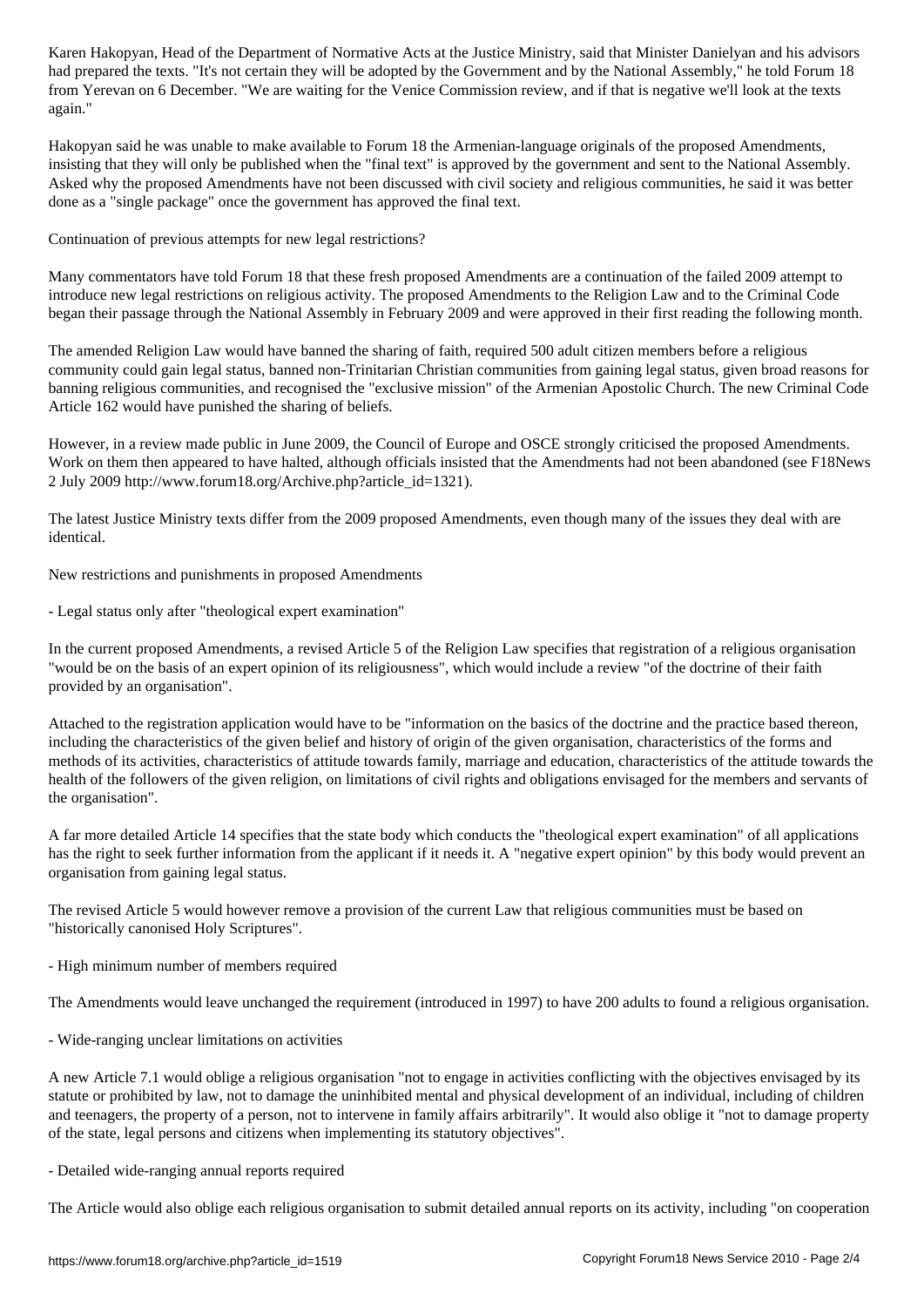had prepared the texts. "It's not certain they will be adopted by the Government and by the National Assembly," he told Forum 18 from Yerevan on 6 December. "We are waiting for the Venice Commission review, and if that is negative we'll look at the texts again."

Hakopyan said he was unable to make available to Forum 18 the Armenian-language originals of the proposed Amendments, insisting that they will only be published when the "final text" is approved by the government and sent to the National Assembly. Asked why the proposed Amendments have not been discussed with civil society and religious communities, he said it was better done as a "single package" once the government has approved the final text.

Continuation of previous attempts for new legal restrictions?

Many commentators have told Forum 18 that these fresh proposed Amendments are a continuation of the failed 2009 attempt to introduce new legal restrictions on religious activity. The proposed Amendments to the Religion Law and to the Criminal Code began their passage through the National Assembly in February 2009 and were approved in their first reading the following month.

The amended Religion Law would have banned the sharing of faith, required 500 adult citizen members before a religious community could gain legal status, banned non-Trinitarian Christian communities from gaining legal status, given broad reasons for banning religious communities, and recognised the "exclusive mission" of the Armenian Apostolic Church. The new Criminal Code Article 162 would have punished the sharing of beliefs.

However, in a review made public in June 2009, the Council of Europe and OSCE strongly criticised the proposed Amendments. Work on them then appeared to have halted, although officials insisted that the Amendments had not been abandoned (see F18News 2 July 2009 http://www.forum18.org/Archive.php?article\_id=1321).

The latest Justice Ministry texts differ from the 2009 proposed Amendments, even though many of the issues they deal with are identical.

New restrictions and punishments in proposed Amendments

- Legal status only after "theological expert examination"

In the current proposed Amendments, a revised Article 5 of the Religion Law specifies that registration of a religious organisation "would be on the basis of an expert opinion of its religiousness", which would include a review "of the doctrine of their faith provided by an organisation".

Attached to the registration application would have to be "information on the basics of the doctrine and the practice based thereon, including the characteristics of the given belief and history of origin of the given organisation, characteristics of the forms and methods of its activities, characteristics of attitude towards family, marriage and education, characteristics of the attitude towards the health of the followers of the given religion, on limitations of civil rights and obligations envisaged for the members and servants of the organisation".

A far more detailed Article 14 specifies that the state body which conducts the "theological expert examination" of all applications has the right to seek further information from the applicant if it needs it. A "negative expert opinion" by this body would prevent an organisation from gaining legal status.

The revised Article 5 would however remove a provision of the current Law that religious communities must be based on "historically canonised Holy Scriptures".

- High minimum number of members required

The Amendments would leave unchanged the requirement (introduced in 1997) to have 200 adults to found a religious organisation.

- Wide-ranging unclear limitations on activities

A new Article 7.1 would oblige a religious organisation "not to engage in activities conflicting with the objectives envisaged by its statute or prohibited by law, not to damage the uninhibited mental and physical development of an individual, including of children and teenagers, the property of a person, not to intervene in family affairs arbitrarily". It would also oblige it "not to damage property of the state, legal persons and citizens when implementing its statutory objectives".

## - Detailed wide-ranging annual reports required

The Article would also oblige each religious organisation to submit detailed annual reports on its activity, including "on cooperation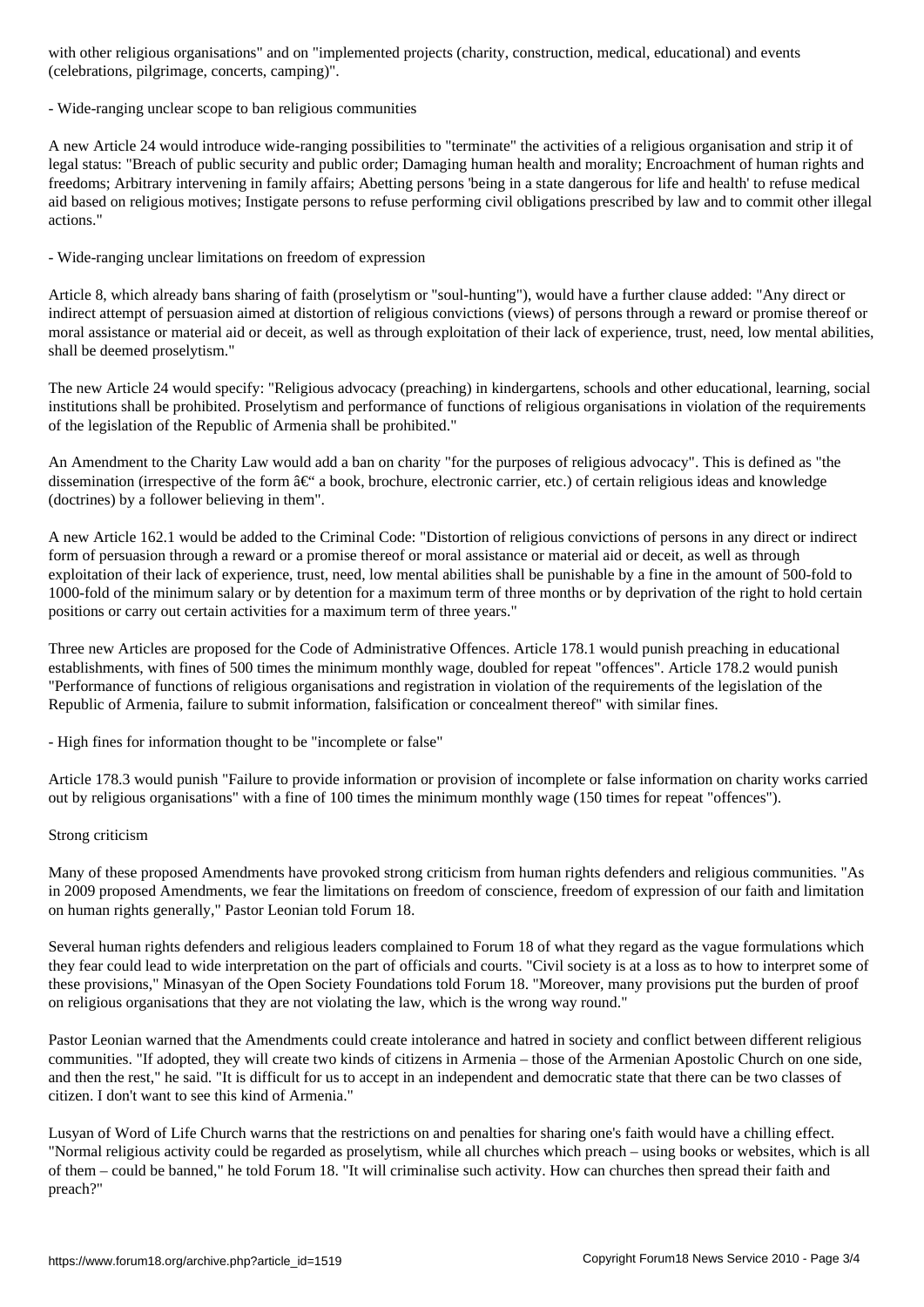(celebrations, pilgrimage, concerts, camping)".

- Wide-ranging unclear scope to ban religious communities

A new Article 24 would introduce wide-ranging possibilities to "terminate" the activities of a religious organisation and strip it of legal status: "Breach of public security and public order; Damaging human health and morality; Encroachment of human rights and freedoms; Arbitrary intervening in family affairs; Abetting persons 'being in a state dangerous for life and health' to refuse medical aid based on religious motives; Instigate persons to refuse performing civil obligations prescribed by law and to commit other illegal actions."

- Wide-ranging unclear limitations on freedom of expression

Article 8, which already bans sharing of faith (proselytism or "soul-hunting"), would have a further clause added: "Any direct or indirect attempt of persuasion aimed at distortion of religious convictions (views) of persons through a reward or promise thereof or moral assistance or material aid or deceit, as well as through exploitation of their lack of experience, trust, need, low mental abilities, shall be deemed proselytism."

The new Article 24 would specify: "Religious advocacy (preaching) in kindergartens, schools and other educational, learning, social institutions shall be prohibited. Proselytism and performance of functions of religious organisations in violation of the requirements of the legislation of the Republic of Armenia shall be prohibited."

An Amendment to the Charity Law would add a ban on charity "for the purposes of religious advocacy". This is defined as "the dissemination (irrespective of the form  $\hat{a} \in \hat{a}$  a book, brochure, electronic carrier, etc.) of certain religious ideas and knowledge (doctrines) by a follower believing in them".

A new Article 162.1 would be added to the Criminal Code: "Distortion of religious convictions of persons in any direct or indirect form of persuasion through a reward or a promise thereof or moral assistance or material aid or deceit, as well as through exploitation of their lack of experience, trust, need, low mental abilities shall be punishable by a fine in the amount of 500-fold to 1000-fold of the minimum salary or by detention for a maximum term of three months or by deprivation of the right to hold certain positions or carry out certain activities for a maximum term of three years."

Three new Articles are proposed for the Code of Administrative Offences. Article 178.1 would punish preaching in educational establishments, with fines of 500 times the minimum monthly wage, doubled for repeat "offences". Article 178.2 would punish "Performance of functions of religious organisations and registration in violation of the requirements of the legislation of the Republic of Armenia, failure to submit information, falsification or concealment thereof" with similar fines.

- High fines for information thought to be "incomplete or false"

Article 178.3 would punish "Failure to provide information or provision of incomplete or false information on charity works carried out by religious organisations" with a fine of 100 times the minimum monthly wage (150 times for repeat "offences").

## Strong criticism

Many of these proposed Amendments have provoked strong criticism from human rights defenders and religious communities. "As in 2009 proposed Amendments, we fear the limitations on freedom of conscience, freedom of expression of our faith and limitation on human rights generally," Pastor Leonian told Forum 18.

Several human rights defenders and religious leaders complained to Forum 18 of what they regard as the vague formulations which they fear could lead to wide interpretation on the part of officials and courts. "Civil society is at a loss as to how to interpret some of these provisions," Minasyan of the Open Society Foundations told Forum 18. "Moreover, many provisions put the burden of proof on religious organisations that they are not violating the law, which is the wrong way round."

Pastor Leonian warned that the Amendments could create intolerance and hatred in society and conflict between different religious communities. "If adopted, they will create two kinds of citizens in Armenia – those of the Armenian Apostolic Church on one side, and then the rest," he said. "It is difficult for us to accept in an independent and democratic state that there can be two classes of citizen. I don't want to see this kind of Armenia."

Lusyan of Word of Life Church warns that the restrictions on and penalties for sharing one's faith would have a chilling effect. "Normal religious activity could be regarded as proselytism, while all churches which preach – using books or websites, which is all of them – could be banned," he told Forum 18. "It will criminalise such activity. How can churches then spread their faith and preach?"